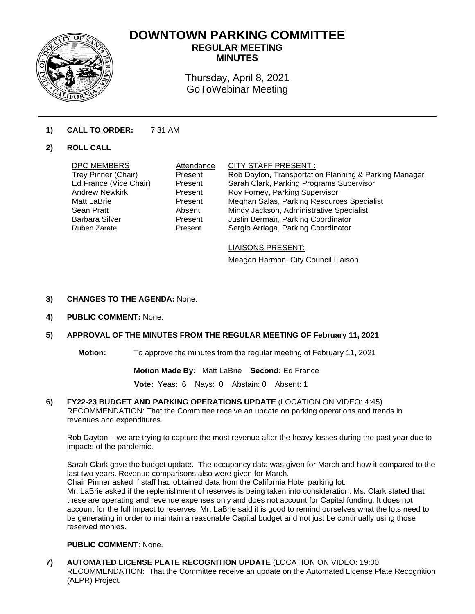

# **DOWNTOWN PARKING COMMITTEE**

**REGULAR MEETING MINUTES** 

Thursday, April 8, 2021 GoToWebinar Meeting

# **1) CALL TO ORDER:** 7:31 AM

## **2) ROLL CALL**

| DPC MEMBERS            | Attendance | CITY STAFF PRESENT:                                   |
|------------------------|------------|-------------------------------------------------------|
| Trey Pinner (Chair)    | Present    | Rob Dayton, Transportation Planning & Parking Manager |
| Ed France (Vice Chair) | Present    | Sarah Clark, Parking Programs Supervisor              |
| <b>Andrew Newkirk</b>  | Present    | Roy Forney, Parking Supervisor                        |
| Matt LaBrie            | Present    | Meghan Salas, Parking Resources Specialist            |
| Sean Pratt             | Absent     | Mindy Jackson, Administrative Specialist              |
| <b>Barbara Silver</b>  | Present    | Justin Berman, Parking Coordinator                    |
| Ruben Zarate           | Present    | Sergio Arriaga, Parking Coordinator                   |
|                        |            |                                                       |

### LIAISONS PRESENT:

Meagan Harmon, City Council Liaison

#### **3) CHANGES TO THE AGENDA:** None.

**4) PUBLIC COMMENT:** None.

## **5) APPROVAL OF THE MINUTES FROM THE REGULAR MEETING OF February 11, 2021**

**Motion:** To approve the minutes from the regular meeting of February 11, 2021

**Motion Made By:** Matt LaBrie **Second:** Ed France

**Vote:** Yeas: 6 Nays: 0 Abstain: 0 Absent: 1

**6) FY22-23 BUDGET AND PARKING OPERATIONS UPDATE** (LOCATION ON VIDEO: 4:45) RECOMMENDATION: That the Committee receive an update on parking operations and trends in revenues and expenditures.

Rob Dayton – we are trying to capture the most revenue after the heavy losses during the past year due to impacts of the pandemic.

Sarah Clark gave the budget update. The occupancy data was given for March and how it compared to the last two years. Revenue comparisons also were given for March. Chair Pinner asked if staff had obtained data from the California Hotel parking lot.

Mr. LaBrie asked if the replenishment of reserves is being taken into consideration. Ms. Clark stated that these are operating and revenue expenses only and does not account for Capital funding. It does not account for the full impact to reserves. Mr. LaBrie said it is good to remind ourselves what the lots need to be generating in order to maintain a reasonable Capital budget and not just be continually using those reserved monies.

## **PUBLIC COMMENT**: None.

**7) AUTOMATED LICENSE PLATE RECOGNITION UPDATE** (LOCATION ON VIDEO: 19:00 RECOMMENDATION: That the Committee receive an update on the Automated License Plate Recognition (ALPR) Project.